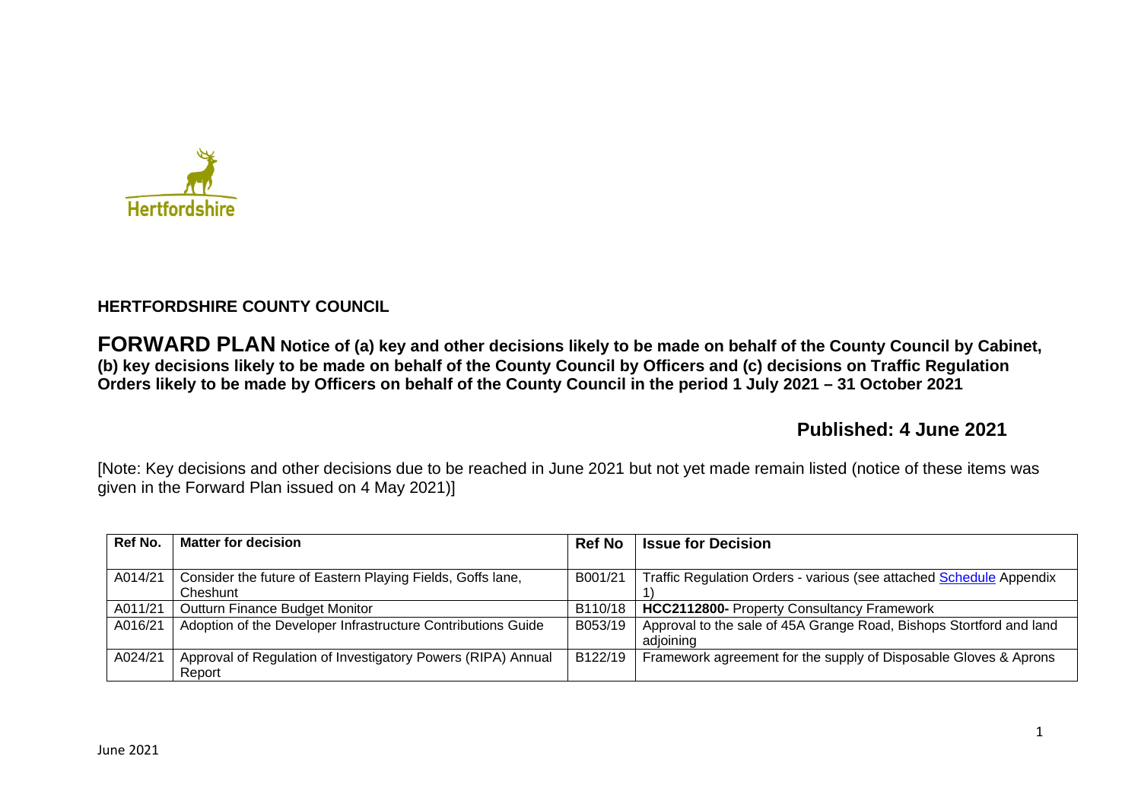

## **HERTFORDSHIRE COUNTY COUNCIL**

**FORWARD PLAN Notice of (a) key and other decisions likely to be made on behalf of the County Council by Cabinet, (b) key decisions likely to be made on behalf of the County Council by Officers and (c) decisions on Traffic Regulation Orders likely to be made by Officers on behalf of the County Council in the period 1 July 2021 – 31 October 2021** 

# **Published: 4 June 2021**

[Note: Key decisions and other decisions due to be reached in June 2021 but not yet made remain listed (notice of these items was given in the Forward Plan issued on 4 May 2021)]

| Ref No. | <b>Matter for decision</b>                                   | <b>Ref No</b> | <b>Issue for Decision</b>                                           |
|---------|--------------------------------------------------------------|---------------|---------------------------------------------------------------------|
|         |                                                              |               |                                                                     |
| A014/21 | Consider the future of Eastern Playing Fields, Goffs lane,   | B001/21       | Traffic Regulation Orders - various (see attached Schedule Appendix |
|         | Cheshunt                                                     |               |                                                                     |
| A011/21 | Outturn Finance Budget Monitor                               | B110/18       | <b>HCC2112800- Property Consultancy Framework</b>                   |
| A016/21 | Adoption of the Developer Infrastructure Contributions Guide | B053/19       | Approval to the sale of 45A Grange Road, Bishops Stortford and land |
|         |                                                              |               | adioining                                                           |
| A024/21 | Approval of Regulation of Investigatory Powers (RIPA) Annual | B122/19       | Framework agreement for the supply of Disposable Gloves & Aprons    |
|         | Report                                                       |               |                                                                     |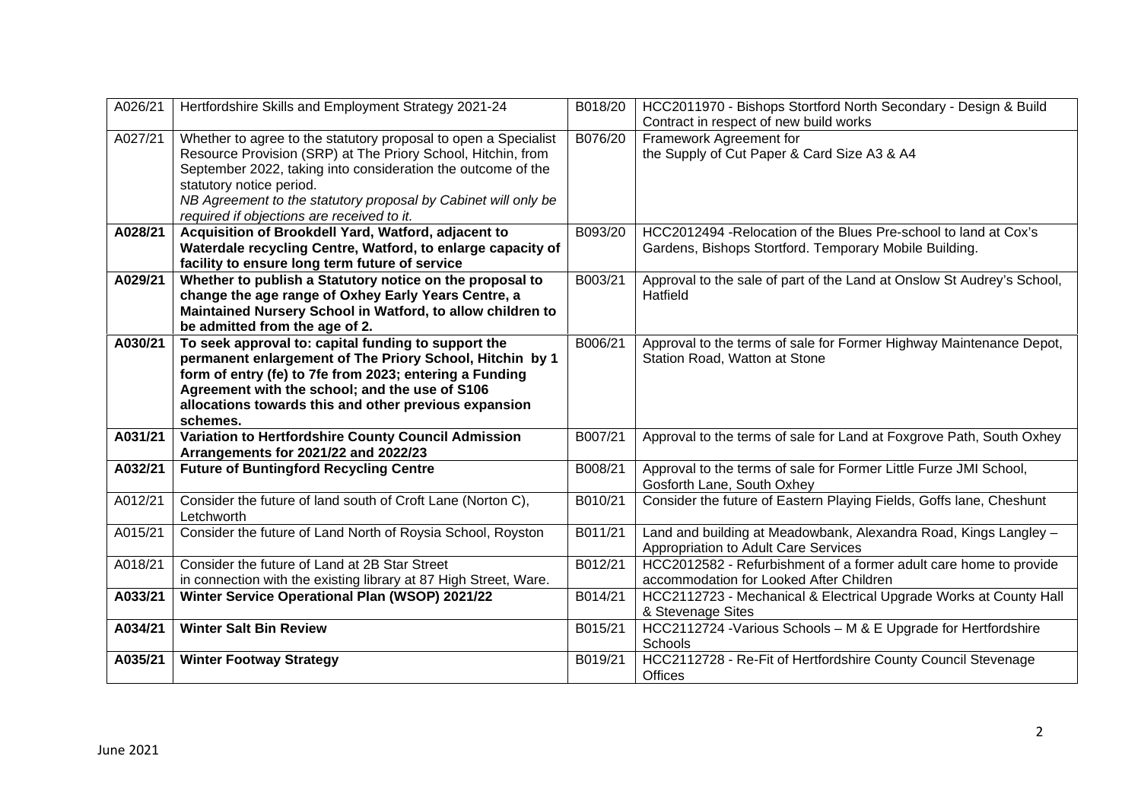| A026/21 | Hertfordshire Skills and Employment Strategy 2021-24                                                                                                                                                                                                                                                                                        | B018/20 | HCC2011970 - Bishops Stortford North Secondary - Design & Build<br>Contract in respect of new build works                  |
|---------|---------------------------------------------------------------------------------------------------------------------------------------------------------------------------------------------------------------------------------------------------------------------------------------------------------------------------------------------|---------|----------------------------------------------------------------------------------------------------------------------------|
| A027/21 | Whether to agree to the statutory proposal to open a Specialist<br>Resource Provision (SRP) at The Priory School, Hitchin, from<br>September 2022, taking into consideration the outcome of the<br>statutory notice period.<br>NB Agreement to the statutory proposal by Cabinet will only be<br>required if objections are received to it. | B076/20 | Framework Agreement for<br>the Supply of Cut Paper & Card Size A3 & A4                                                     |
| A028/21 | Acquisition of Brookdell Yard, Watford, adjacent to<br>Waterdale recycling Centre, Watford, to enlarge capacity of<br>facility to ensure long term future of service                                                                                                                                                                        | B093/20 | HCC2012494 - Relocation of the Blues Pre-school to land at Cox's<br>Gardens, Bishops Stortford. Temporary Mobile Building. |
| A029/21 | Whether to publish a Statutory notice on the proposal to<br>change the age range of Oxhey Early Years Centre, a<br>Maintained Nursery School in Watford, to allow children to<br>be admitted from the age of 2.                                                                                                                             | B003/21 | Approval to the sale of part of the Land at Onslow St Audrey's School,<br>Hatfield                                         |
| A030/21 | To seek approval to: capital funding to support the<br>permanent enlargement of The Priory School, Hitchin by 1<br>form of entry (fe) to 7fe from 2023; entering a Funding<br>Agreement with the school; and the use of S106<br>allocations towards this and other previous expansion<br>schemes.                                           | B006/21 | Approval to the terms of sale for Former Highway Maintenance Depot,<br>Station Road, Watton at Stone                       |
| A031/21 | Variation to Hertfordshire County Council Admission<br>Arrangements for 2021/22 and 2022/23                                                                                                                                                                                                                                                 | B007/21 | Approval to the terms of sale for Land at Foxgrove Path, South Oxhey                                                       |
| A032/21 | <b>Future of Buntingford Recycling Centre</b>                                                                                                                                                                                                                                                                                               | B008/21 | Approval to the terms of sale for Former Little Furze JMI School,<br>Gosforth Lane, South Oxhey                            |
| A012/21 | Consider the future of land south of Croft Lane (Norton C),<br>Letchworth                                                                                                                                                                                                                                                                   | B010/21 | Consider the future of Eastern Playing Fields, Goffs lane, Cheshunt                                                        |
| A015/21 | Consider the future of Land North of Roysia School, Royston                                                                                                                                                                                                                                                                                 | B011/21 | Land and building at Meadowbank, Alexandra Road, Kings Langley -<br>Appropriation to Adult Care Services                   |
| A018/21 | Consider the future of Land at 2B Star Street<br>in connection with the existing library at 87 High Street, Ware.                                                                                                                                                                                                                           | B012/21 | HCC2012582 - Refurbishment of a former adult care home to provide<br>accommodation for Looked After Children               |
| A033/21 | Winter Service Operational Plan (WSOP) 2021/22                                                                                                                                                                                                                                                                                              | B014/21 | HCC2112723 - Mechanical & Electrical Upgrade Works at County Hall<br>& Stevenage Sites                                     |
| A034/21 | <b>Winter Salt Bin Review</b>                                                                                                                                                                                                                                                                                                               | B015/21 | HCC2112724 - Various Schools - M & E Upgrade for Hertfordshire<br><b>Schools</b>                                           |
| A035/21 | <b>Winter Footway Strategy</b>                                                                                                                                                                                                                                                                                                              | B019/21 | HCC2112728 - Re-Fit of Hertfordshire County Council Stevenage<br>Offices                                                   |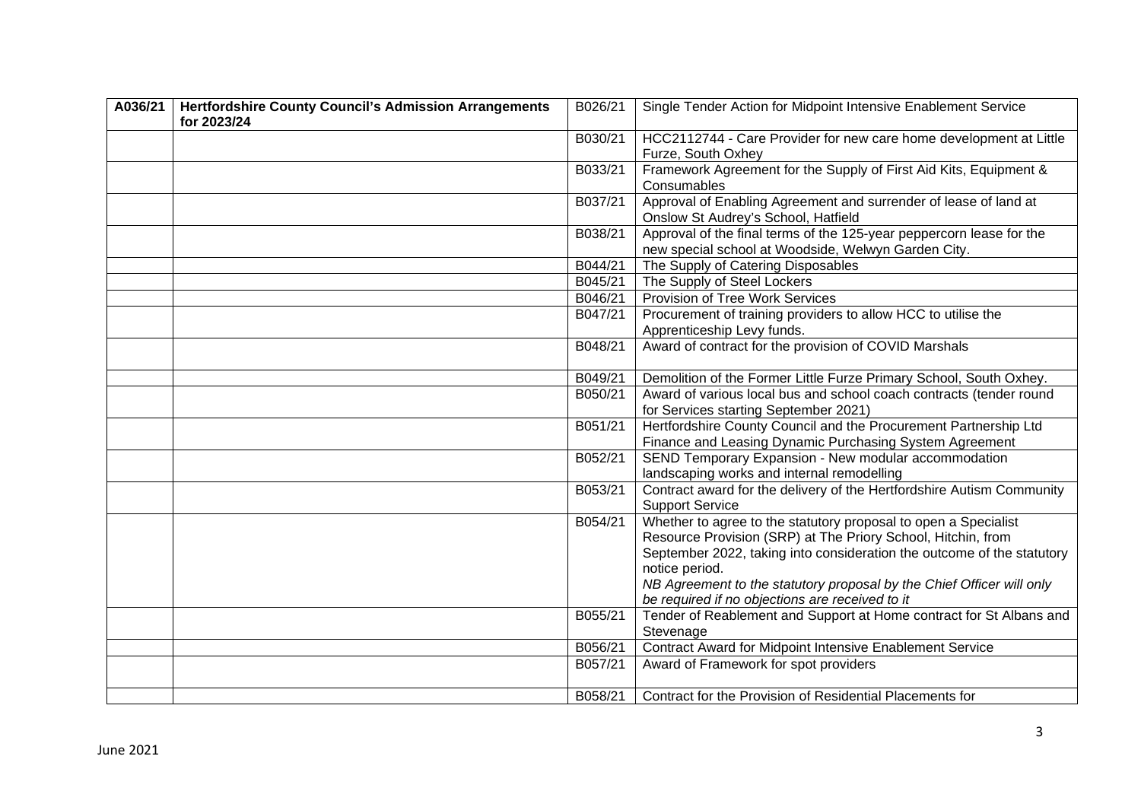| A036/21 | <b>Hertfordshire County Council's Admission Arrangements</b><br>for 2023/24 | B026/21 | Single Tender Action for Midpoint Intensive Enablement Service                                                                                                                                                                                                                                                                                          |
|---------|-----------------------------------------------------------------------------|---------|---------------------------------------------------------------------------------------------------------------------------------------------------------------------------------------------------------------------------------------------------------------------------------------------------------------------------------------------------------|
|         |                                                                             | B030/21 | HCC2112744 - Care Provider for new care home development at Little<br>Furze, South Oxhey                                                                                                                                                                                                                                                                |
|         |                                                                             | B033/21 | Framework Agreement for the Supply of First Aid Kits, Equipment &<br>Consumables                                                                                                                                                                                                                                                                        |
|         |                                                                             | B037/21 | Approval of Enabling Agreement and surrender of lease of land at<br>Onslow St Audrey's School, Hatfield                                                                                                                                                                                                                                                 |
|         |                                                                             | B038/21 | Approval of the final terms of the 125-year peppercorn lease for the<br>new special school at Woodside, Welwyn Garden City.                                                                                                                                                                                                                             |
|         |                                                                             | B044/21 | The Supply of Catering Disposables                                                                                                                                                                                                                                                                                                                      |
|         |                                                                             | B045/21 | The Supply of Steel Lockers                                                                                                                                                                                                                                                                                                                             |
|         |                                                                             | B046/21 | Provision of Tree Work Services                                                                                                                                                                                                                                                                                                                         |
|         |                                                                             | B047/21 | Procurement of training providers to allow HCC to utilise the<br>Apprenticeship Levy funds.                                                                                                                                                                                                                                                             |
|         |                                                                             | B048/21 | Award of contract for the provision of COVID Marshals                                                                                                                                                                                                                                                                                                   |
|         |                                                                             | B049/21 | Demolition of the Former Little Furze Primary School, South Oxhey.                                                                                                                                                                                                                                                                                      |
|         |                                                                             | B050/21 | Award of various local bus and school coach contracts (tender round                                                                                                                                                                                                                                                                                     |
|         |                                                                             |         | for Services starting September 2021)                                                                                                                                                                                                                                                                                                                   |
|         |                                                                             | B051/21 | Hertfordshire County Council and the Procurement Partnership Ltd                                                                                                                                                                                                                                                                                        |
|         |                                                                             |         | Finance and Leasing Dynamic Purchasing System Agreement                                                                                                                                                                                                                                                                                                 |
|         |                                                                             | B052/21 | SEND Temporary Expansion - New modular accommodation<br>landscaping works and internal remodelling                                                                                                                                                                                                                                                      |
|         |                                                                             | B053/21 | Contract award for the delivery of the Hertfordshire Autism Community<br><b>Support Service</b>                                                                                                                                                                                                                                                         |
|         |                                                                             | B054/21 | Whether to agree to the statutory proposal to open a Specialist<br>Resource Provision (SRP) at The Priory School, Hitchin, from<br>September 2022, taking into consideration the outcome of the statutory<br>notice period.<br>NB Agreement to the statutory proposal by the Chief Officer will only<br>be required if no objections are received to it |
|         |                                                                             | B055/21 | Tender of Reablement and Support at Home contract for St Albans and<br>Stevenage                                                                                                                                                                                                                                                                        |
|         |                                                                             | B056/21 | Contract Award for Midpoint Intensive Enablement Service                                                                                                                                                                                                                                                                                                |
|         |                                                                             | B057/21 | Award of Framework for spot providers                                                                                                                                                                                                                                                                                                                   |
|         |                                                                             | B058/21 | Contract for the Provision of Residential Placements for                                                                                                                                                                                                                                                                                                |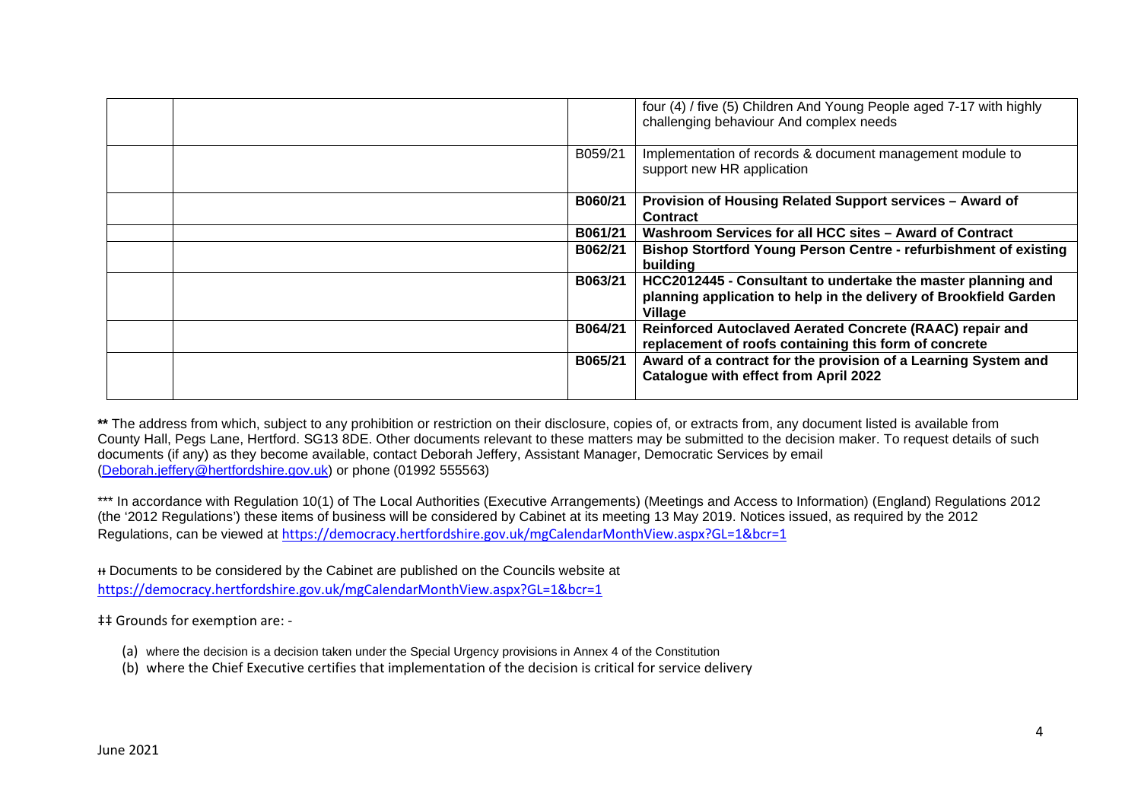|         | four (4) / five (5) Children And Young People aged 7-17 with highly<br>challenging behaviour And complex needs                               |
|---------|----------------------------------------------------------------------------------------------------------------------------------------------|
| B059/21 | Implementation of records & document management module to<br>support new HR application                                                      |
| B060/21 | Provision of Housing Related Support services - Award of<br><b>Contract</b>                                                                  |
| B061/21 | Washroom Services for all HCC sites – Award of Contract                                                                                      |
| B062/21 | <b>Bishop Stortford Young Person Centre - refurbishment of existing</b><br>building                                                          |
| B063/21 | HCC2012445 - Consultant to undertake the master planning and<br>planning application to help in the delivery of Brookfield Garden<br>Village |
| B064/21 | Reinforced Autoclaved Aerated Concrete (RAAC) repair and<br>replacement of roofs containing this form of concrete                            |
| B065/21 | Award of a contract for the provision of a Learning System and<br><b>Catalogue with effect from April 2022</b>                               |

\*\* The address from which, subject to any prohibition or restriction on their disclosure, copies of, or extracts from, any document listed is available from County Hall, Pegs Lane, Hertford. SG13 8DE. Other documents relevant to these matters may be submitted to the decision maker. To request details of such documents (if any) as they become available, contact Deborah Jeffery, Assistant Manager, Democratic Services by email (Deborah.jeffery@hertfordshire.gov.uk) or phone (01992 555563)

\*\*\* In accordance with Regulation 10(1) of The Local Authorities (Executive Arrangements) (Meetings and Access to Information) (England) Regulations 2012 (the '2012 Regulations') these items of business will be considered by Cabinet at its meeting 13 May 2019. Notices issued, as required by the 2012 Regulations, can be viewed at https://democracy.hertfordshire.gov.uk/mgCalendarMonthView.aspx?GL=1&bcr=1

ᵻᵻ Documents to be considered by the Cabinet are published on the Councils website at

https://democracy.hertfordshire.gov.uk/mgCalendarMonthView.aspx?GL=1&bcr=1

‡‡ Grounds for exemption are: -

- (a) where the decision is a decision taken under the Special Urgency provisions in Annex 4 of the Constitution
- (b) where the Chief Executive certifies that implementation of the decision is critical for service delivery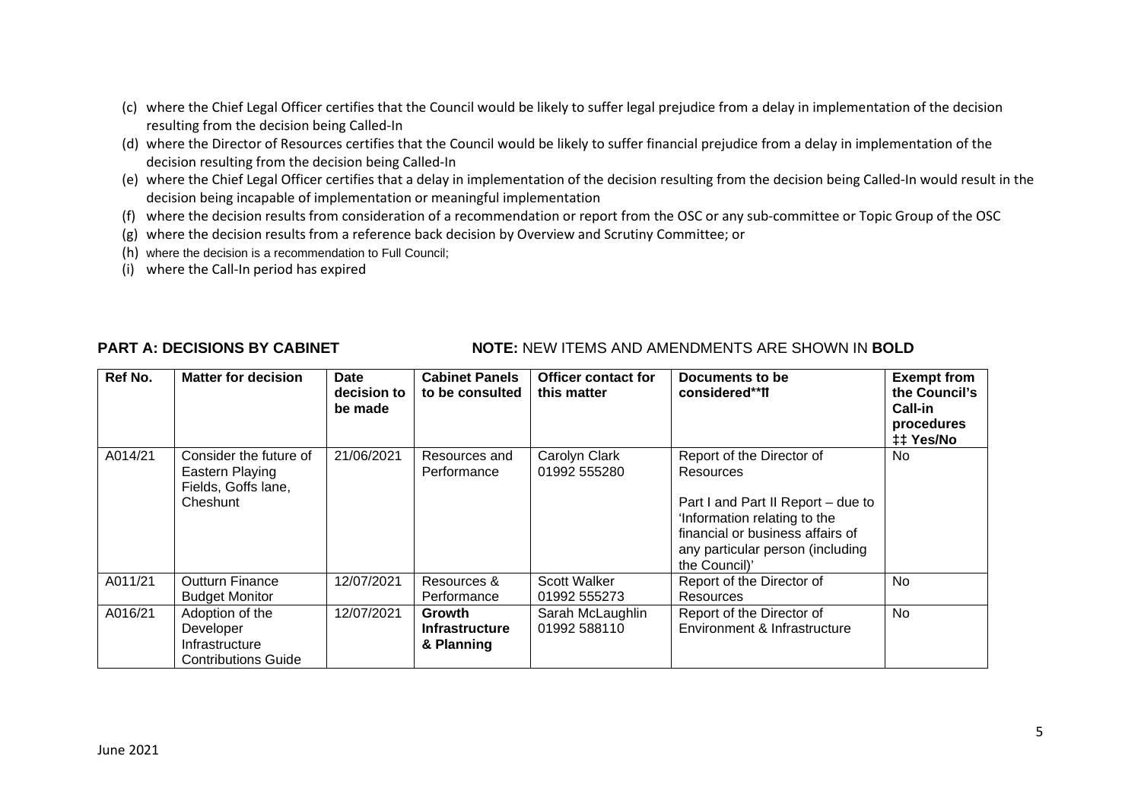- (c) where the Chief Legal Officer certifies that the Council would be likely to suffer legal prejudice from a delay in implementation of the decision resulting from the decision being Called-In
- (d) where the Director of Resources certifies that the Council would be likely to suffer financial prejudice from a delay in implementation of the decision resulting from the decision being Called-In
- (e) where the Chief Legal Officer certifies that a delay in implementation of the decision resulting from the decision being Called-In would result in the decision being incapable of implementation or meaningful implementation
- (f) where the decision results from consideration of a recommendation or report from the OSC or any sub-committee or Topic Group of the OSC
- (g) where the decision results from a reference back decision by Overview and Scrutiny Committee; or
- (h) where the decision is a recommendation to Full Council;
- (i) where the Call-In period has expired

### **PART A: DECISIONS BY CABINET NOTE: NEW ITEMS AND AMENDMENTS ARE SHOWN IN BOLD**

| Ref No. | <b>Matter for decision</b>                                                   | Date<br>decision to<br>be made | <b>Cabinet Panels</b><br>to be consulted      | <b>Officer contact for</b><br>this matter | Documents to be<br>considered**ff                                                                                                                                                                     | <b>Exempt from</b><br>the Council's<br>Call-in<br>procedures<br>## Yes/No |
|---------|------------------------------------------------------------------------------|--------------------------------|-----------------------------------------------|-------------------------------------------|-------------------------------------------------------------------------------------------------------------------------------------------------------------------------------------------------------|---------------------------------------------------------------------------|
| A014/21 | Consider the future of<br>Eastern Playing<br>Fields, Goffs lane,<br>Cheshunt | 21/06/2021                     | Resources and<br>Performance                  | Carolyn Clark<br>01992 555280             | Report of the Director of<br>Resources<br>Part I and Part II Report - due to<br>'Information relating to the<br>financial or business affairs of<br>any particular person (including<br>the Council)' | No                                                                        |
| A011/21 | <b>Outturn Finance</b><br><b>Budget Monitor</b>                              | 12/07/2021                     | Resources &<br>Performance                    | Scott Walker<br>01992 555273              | Report of the Director of<br><b>Resources</b>                                                                                                                                                         | No                                                                        |
| A016/21 | Adoption of the<br>Developer<br>Infrastructure<br><b>Contributions Guide</b> | 12/07/2021                     | Growth<br><b>Infrastructure</b><br>& Planning | Sarah McLaughlin<br>01992 588110          | Report of the Director of<br>Environment & Infrastructure                                                                                                                                             | <b>No</b>                                                                 |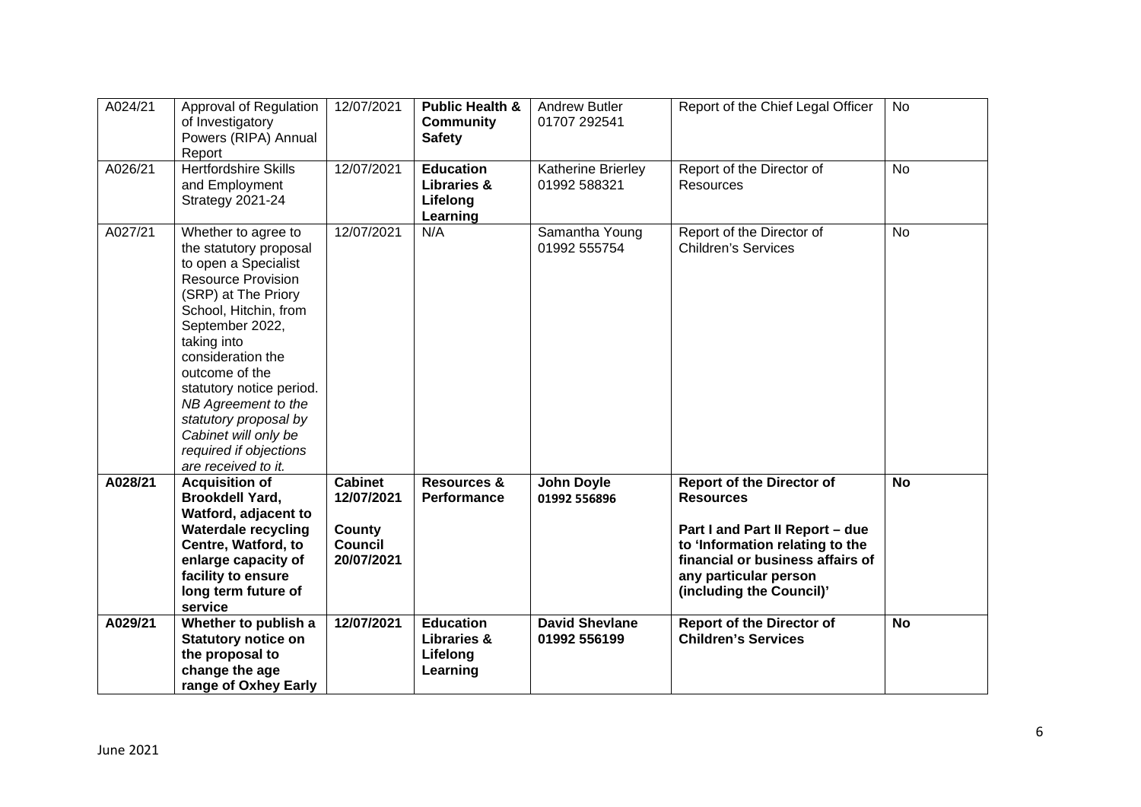| A024/21 | Approval of Regulation<br>of Investigatory<br>Powers (RIPA) Annual<br>Report                                                                                                                                                                                                                                                                                                     | 12/07/2021                                                             | <b>Public Health &amp;</b><br><b>Community</b><br><b>Safety</b>    | <b>Andrew Butler</b><br>01707 292541  | Report of the Chief Legal Officer                                                                                                                                                                                   | <b>No</b> |
|---------|----------------------------------------------------------------------------------------------------------------------------------------------------------------------------------------------------------------------------------------------------------------------------------------------------------------------------------------------------------------------------------|------------------------------------------------------------------------|--------------------------------------------------------------------|---------------------------------------|---------------------------------------------------------------------------------------------------------------------------------------------------------------------------------------------------------------------|-----------|
| A026/21 | <b>Hertfordshire Skills</b><br>and Employment<br>Strategy 2021-24                                                                                                                                                                                                                                                                                                                | 12/07/2021                                                             | <b>Education</b><br><b>Libraries &amp;</b><br>Lifelong<br>Learning | Katherine Brierley<br>01992 588321    | Report of the Director of<br><b>Resources</b>                                                                                                                                                                       | <b>No</b> |
| A027/21 | Whether to agree to<br>the statutory proposal<br>to open a Specialist<br><b>Resource Provision</b><br>(SRP) at The Priory<br>School, Hitchin, from<br>September 2022,<br>taking into<br>consideration the<br>outcome of the<br>statutory notice period.<br>NB Agreement to the<br>statutory proposal by<br>Cabinet will only be<br>required if objections<br>are received to it. | 12/07/2021                                                             | N/A                                                                | Samantha Young<br>01992 555754        | Report of the Director of<br><b>Children's Services</b>                                                                                                                                                             | <b>No</b> |
| A028/21 | <b>Acquisition of</b><br><b>Brookdell Yard,</b><br>Watford, adjacent to<br><b>Waterdale recycling</b><br>Centre, Watford, to<br>enlarge capacity of<br>facility to ensure<br>long term future of<br>service                                                                                                                                                                      | <b>Cabinet</b><br>12/07/2021<br>County<br><b>Council</b><br>20/07/2021 | <b>Resources &amp;</b><br>Performance                              | <b>John Doyle</b><br>01992 556896     | <b>Report of the Director of</b><br><b>Resources</b><br>Part I and Part II Report - due<br>to 'Information relating to the<br>financial or business affairs of<br>any particular person<br>(including the Council)' | <b>No</b> |
| A029/21 | Whether to publish a<br><b>Statutory notice on</b><br>the proposal to<br>change the age<br>range of Oxhey Early                                                                                                                                                                                                                                                                  | 12/07/2021                                                             | <b>Education</b><br><b>Libraries &amp;</b><br>Lifelong<br>Learning | <b>David Shevlane</b><br>01992 556199 | <b>Report of the Director of</b><br><b>Children's Services</b>                                                                                                                                                      | <b>No</b> |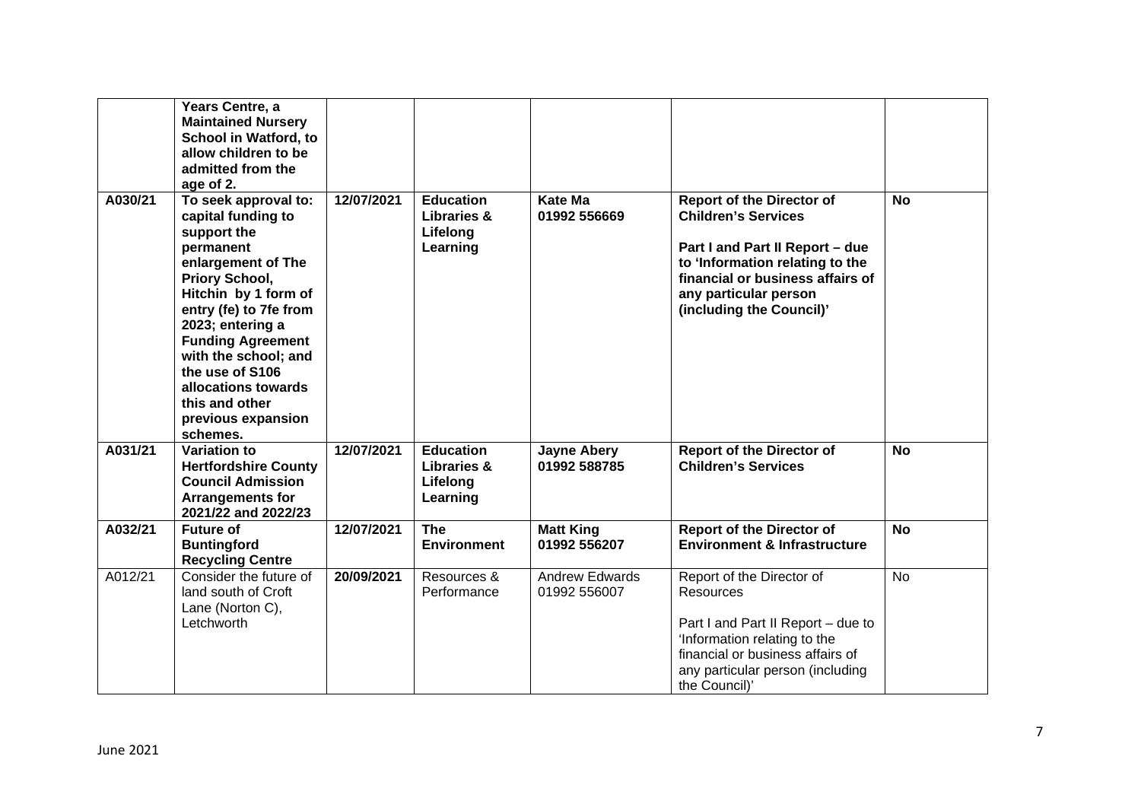|         | Years Centre, a<br><b>Maintained Nursery</b><br>School in Watford, to<br>allow children to be<br>admitted from the<br>age of 2.                                                                                                                                                                                                        |            |                                                                    |                                       |                                                                                                                                                                                                                               |           |
|---------|----------------------------------------------------------------------------------------------------------------------------------------------------------------------------------------------------------------------------------------------------------------------------------------------------------------------------------------|------------|--------------------------------------------------------------------|---------------------------------------|-------------------------------------------------------------------------------------------------------------------------------------------------------------------------------------------------------------------------------|-----------|
| A030/21 | To seek approval to:<br>capital funding to<br>support the<br>permanent<br>enlargement of The<br>Priory School,<br>Hitchin by 1 form of<br>entry (fe) to 7fe from<br>2023; entering a<br><b>Funding Agreement</b><br>with the school; and<br>the use of S106<br>allocations towards<br>this and other<br>previous expansion<br>schemes. | 12/07/2021 | <b>Education</b><br><b>Libraries &amp;</b><br>Lifelong<br>Learning | <b>Kate Ma</b><br>01992 556669        | <b>Report of the Director of</b><br><b>Children's Services</b><br>Part I and Part II Report - due<br>to 'Information relating to the<br>financial or business affairs of<br>any particular person<br>(including the Council)' | <b>No</b> |
| A031/21 | <b>Variation to</b><br><b>Hertfordshire County</b><br><b>Council Admission</b><br><b>Arrangements for</b><br>2021/22 and 2022/23                                                                                                                                                                                                       | 12/07/2021 | <b>Education</b><br><b>Libraries &amp;</b><br>Lifelong<br>Learning | <b>Jayne Abery</b><br>01992 588785    | <b>Report of the Director of</b><br><b>Children's Services</b>                                                                                                                                                                | <b>No</b> |
| A032/21 | <b>Future of</b><br><b>Buntingford</b><br><b>Recycling Centre</b>                                                                                                                                                                                                                                                                      | 12/07/2021 | <b>The</b><br><b>Environment</b>                                   | <b>Matt King</b><br>01992 556207      | <b>Report of the Director of</b><br><b>Environment &amp; Infrastructure</b>                                                                                                                                                   | <b>No</b> |
| A012/21 | Consider the future of<br>land south of Croft<br>Lane (Norton C),<br>Letchworth                                                                                                                                                                                                                                                        | 20/09/2021 | Resources &<br>Performance                                         | <b>Andrew Edwards</b><br>01992 556007 | Report of the Director of<br><b>Resources</b><br>Part I and Part II Report - due to<br>'Information relating to the<br>financial or business affairs of<br>any particular person (including<br>the Council)'                  | No        |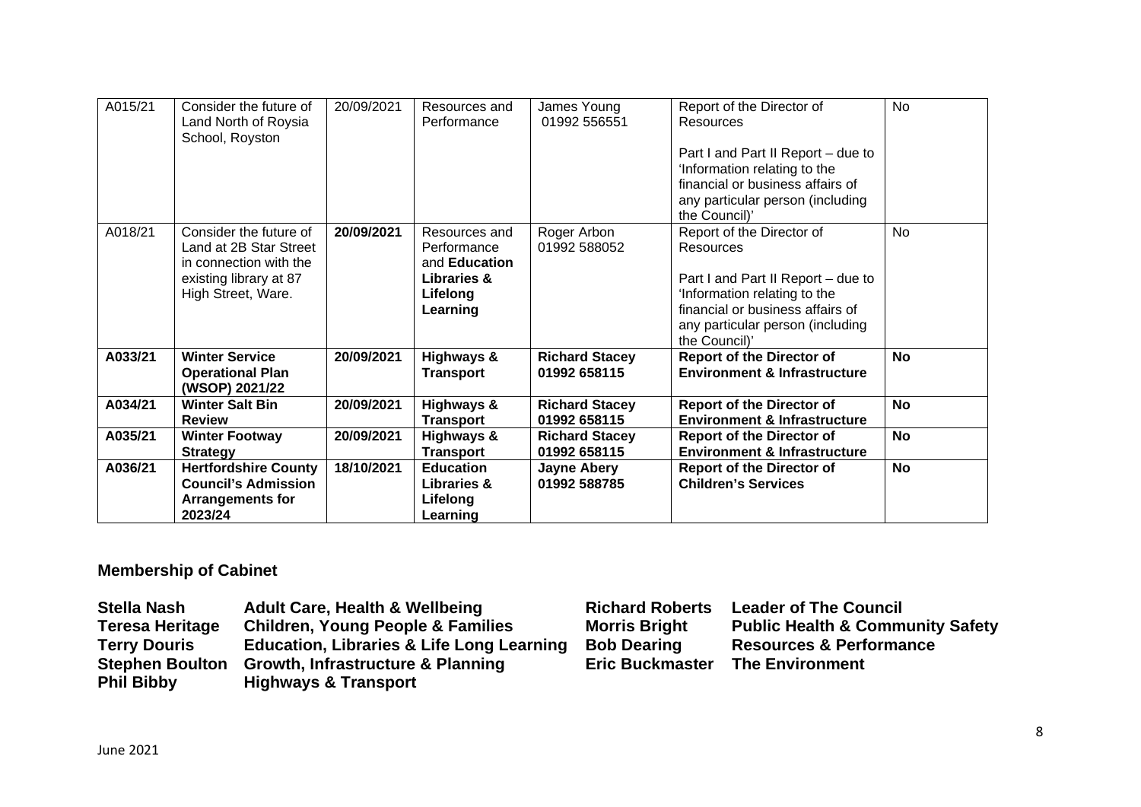| A015/21 | Consider the future of<br>Land North of Roysia<br>School, Royston                                                          | 20/09/2021 | Resources and<br>Performance                                                                           | James Young<br>01992 556551           | Report of the Director of<br>Resources<br>Part I and Part II Report - due to<br>'Information relating to the<br>financial or business affairs of<br>any particular person (including<br>the Council)' | <b>No</b> |
|---------|----------------------------------------------------------------------------------------------------------------------------|------------|--------------------------------------------------------------------------------------------------------|---------------------------------------|-------------------------------------------------------------------------------------------------------------------------------------------------------------------------------------------------------|-----------|
| A018/21 | Consider the future of<br>Land at 2B Star Street<br>in connection with the<br>existing library at 87<br>High Street, Ware. | 20/09/2021 | Resources and<br>Performance<br>and <b>Education</b><br><b>Libraries &amp;</b><br>Lifelong<br>Learning | Roger Arbon<br>01992 588052           | Report of the Director of<br>Resources<br>Part I and Part II Report - due to<br>'Information relating to the<br>financial or business affairs of<br>any particular person (including<br>the Council)' | <b>No</b> |
| A033/21 | <b>Winter Service</b><br><b>Operational Plan</b><br>(WSOP) 2021/22                                                         | 20/09/2021 | <b>Highways &amp;</b><br><b>Transport</b>                                                              | <b>Richard Stacey</b><br>01992 658115 | <b>Report of the Director of</b><br><b>Environment &amp; Infrastructure</b>                                                                                                                           | <b>No</b> |
| A034/21 | <b>Winter Salt Bin</b><br><b>Review</b>                                                                                    | 20/09/2021 | <b>Highways &amp;</b><br><b>Transport</b>                                                              | <b>Richard Stacey</b><br>01992 658115 | <b>Report of the Director of</b><br><b>Environment &amp; Infrastructure</b>                                                                                                                           | <b>No</b> |
| A035/21 | <b>Winter Footway</b><br><b>Strategy</b>                                                                                   | 20/09/2021 | <b>Highways &amp;</b><br><b>Transport</b>                                                              | <b>Richard Stacey</b><br>01992 658115 | <b>Report of the Director of</b><br><b>Environment &amp; Infrastructure</b>                                                                                                                           | No        |
| A036/21 | <b>Hertfordshire County</b><br><b>Council's Admission</b><br><b>Arrangements for</b><br>2023/24                            | 18/10/2021 | <b>Education</b><br><b>Libraries &amp;</b><br>Lifelong<br>Learning                                     | <b>Jayne Abery</b><br>01992 588785    | <b>Report of the Director of</b><br><b>Children's Services</b>                                                                                                                                        | <b>No</b> |

# **Membership of Cabinet**

| <b>Stella Nash</b>     | <b>Adult Care, Health &amp; Wellbeing</b>            | <b>Richard Roberts</b> | <b>Leader of The Council</b>                |
|------------------------|------------------------------------------------------|------------------------|---------------------------------------------|
| <b>Teresa Heritage</b> | <b>Children, Young People &amp; Families</b>         | <b>Morris Bright</b>   | <b>Public Health &amp; Community Safety</b> |
| <b>Terry Douris</b>    | <b>Education, Libraries &amp; Life Long Learning</b> | <b>Bob Dearing</b>     | <b>Resources &amp; Performance</b>          |
| <b>Stephen Boulton</b> | <b>Growth, Infrastructure &amp; Planning</b>         | <b>Eric Buckmaster</b> | <b>The Environment</b>                      |
| <b>Phil Bibby</b>      | <b>Highways &amp; Transport</b>                      |                        |                                             |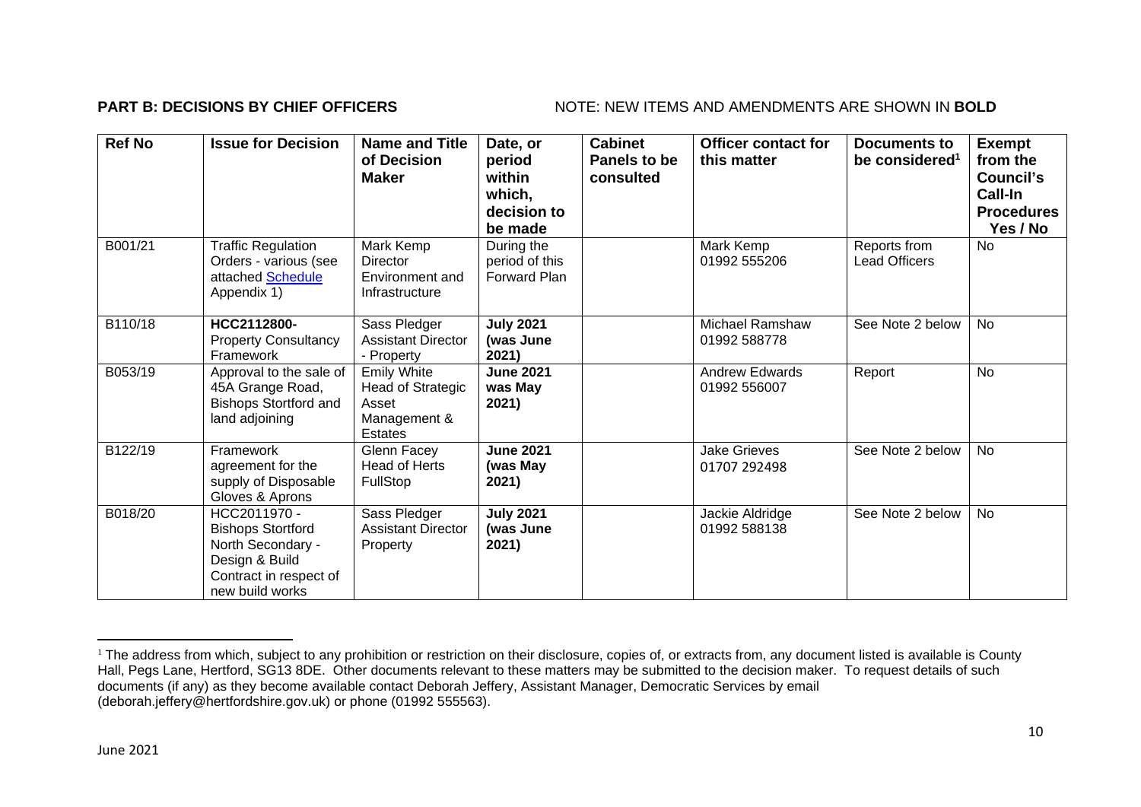### **PART B: DECISIONS BY CHIEF OFFICERS** NOTE: NEW ITEMS AND AMENDMENTS ARE SHOWN IN BOLD

| <b>Ref No</b> | <b>Issue for Decision</b>                                                                                                    | <b>Name and Title</b><br>of Decision<br><b>Maker</b>                               | Date, or<br>period<br>within<br>which,<br>decision to<br>be made | <b>Cabinet</b><br>Panels to be<br>consulted | <b>Officer contact for</b><br>this matter | <b>Documents to</b><br>be considered <sup>1</sup> | <b>Exempt</b><br>from the<br>Council's<br>Call-In<br><b>Procedures</b><br>Yes / No |
|---------------|------------------------------------------------------------------------------------------------------------------------------|------------------------------------------------------------------------------------|------------------------------------------------------------------|---------------------------------------------|-------------------------------------------|---------------------------------------------------|------------------------------------------------------------------------------------|
| B001/21       | <b>Traffic Regulation</b><br>Orders - various (see<br>attached Schedule<br>Appendix 1)                                       | Mark Kemp<br>Director<br>Environment and<br>Infrastructure                         | During the<br>period of this<br>Forward Plan                     |                                             | Mark Kemp<br>01992 555206                 | Reports from<br><b>Lead Officers</b>              | <b>No</b>                                                                          |
| B110/18       | HCC2112800-<br><b>Property Consultancy</b><br>Framework                                                                      | Sass Pledger<br><b>Assistant Director</b><br>- Property                            | <b>July 2021</b><br>(was June<br>2021)                           |                                             | <b>Michael Ramshaw</b><br>01992 588778    | See Note 2 below                                  | <b>No</b>                                                                          |
| B053/19       | Approval to the sale of<br>45A Grange Road,<br><b>Bishops Stortford and</b><br>land adjoining                                | <b>Emily White</b><br><b>Head of Strategic</b><br>Asset<br>Management &<br>Estates | <b>June 2021</b><br>was May<br>2021)                             |                                             | <b>Andrew Edwards</b><br>01992 556007     | Report                                            | <b>No</b>                                                                          |
| B122/19       | Framework<br>agreement for the<br>supply of Disposable<br>Gloves & Aprons                                                    | Glenn Facey<br><b>Head of Herts</b><br>FullStop                                    | <b>June 2021</b><br>(was May<br>2021)                            |                                             | <b>Jake Grieves</b><br>01707 292498       | See Note 2 below                                  | <b>No</b>                                                                          |
| B018/20       | HCC2011970 -<br><b>Bishops Stortford</b><br>North Secondary -<br>Design & Build<br>Contract in respect of<br>new build works | Sass Pledger<br><b>Assistant Director</b><br>Property                              | <b>July 2021</b><br>(was June<br>2021)                           |                                             | Jackie Aldridge<br>01992 588138           | See Note 2 below                                  | No                                                                                 |

<sup>&</sup>lt;sup>1</sup> The address from which, subject to any prohibition or restriction on their disclosure, copies of, or extracts from, any document listed is available is County Hall, Pegs Lane, Hertford, SG13 8DE. Other documents relevant to these matters may be submitted to the decision maker. To request details of such documents (if any) as they become available contact Deborah Jeffery, Assistant Manager, Democratic Services by email (deborah.jeffery@hertfordshire.gov.uk) or phone (01992 555563).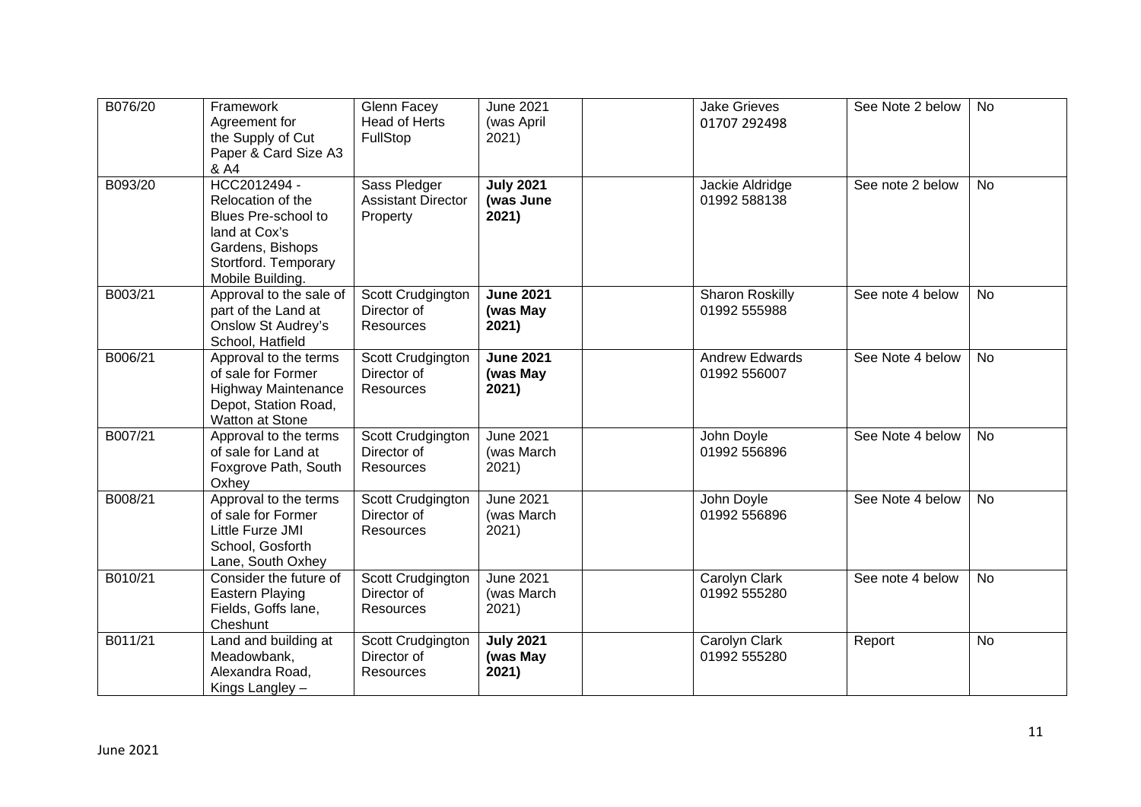| B076/20 | Framework<br>Agreement for<br>the Supply of Cut<br>Paper & Card Size A3<br>& A4                                                           | Glenn Facey<br><b>Head of Herts</b><br>FullStop       | <b>June 2021</b><br>(was April<br>2021) | <b>Jake Grieves</b><br>01707 292498    | See Note 2 below | <b>No</b> |
|---------|-------------------------------------------------------------------------------------------------------------------------------------------|-------------------------------------------------------|-----------------------------------------|----------------------------------------|------------------|-----------|
| B093/20 | HCC2012494 -<br>Relocation of the<br>Blues Pre-school to<br>land at Cox's<br>Gardens, Bishops<br>Stortford. Temporary<br>Mobile Building. | Sass Pledger<br><b>Assistant Director</b><br>Property | <b>July 2021</b><br>(was June<br>2021)  | Jackie Aldridge<br>01992 588138        | See note 2 below | <b>No</b> |
| B003/21 | Approval to the sale of<br>part of the Land at<br><b>Onslow St Audrey's</b><br>School, Hatfield                                           | Scott Crudgington<br>Director of<br>Resources         | <b>June 2021</b><br>(was May<br>2021)   | <b>Sharon Roskilly</b><br>01992 555988 | See note 4 below | No        |
| B006/21 | Approval to the terms<br>of sale for Former<br><b>Highway Maintenance</b><br>Depot, Station Road,<br>Watton at Stone                      | Scott Crudgington<br>Director of<br><b>Resources</b>  | <b>June 2021</b><br>(was May<br>2021)   | <b>Andrew Edwards</b><br>01992 556007  | See Note 4 below | <b>No</b> |
| B007/21 | Approval to the terms<br>of sale for Land at<br>Foxgrove Path, South<br>Oxhey                                                             | Scott Crudgington<br>Director of<br><b>Resources</b>  | <b>June 2021</b><br>(was March<br>2021) | John Doyle<br>01992 556896             | See Note 4 below | <b>No</b> |
| B008/21 | Approval to the terms<br>of sale for Former<br>Little Furze JMI<br>School, Gosforth<br>Lane, South Oxhey                                  | Scott Crudgington<br>Director of<br><b>Resources</b>  | <b>June 2021</b><br>(was March<br>2021) | John Doyle<br>01992 556896             | See Note 4 below | <b>No</b> |
| B010/21 | Consider the future of<br>Eastern Playing<br>Fields, Goffs lane,<br>Cheshunt                                                              | Scott Crudgington<br>Director of<br><b>Resources</b>  | <b>June 2021</b><br>(was March<br>2021) | Carolyn Clark<br>01992 555280          | See note 4 below | <b>No</b> |
| B011/21 | Land and building at<br>Meadowbank,<br>Alexandra Road,<br>Kings Langley -                                                                 | Scott Crudgington<br>Director of<br><b>Resources</b>  | <b>July 2021</b><br>(was May<br>2021)   | Carolyn Clark<br>01992 555280          | Report           | <b>No</b> |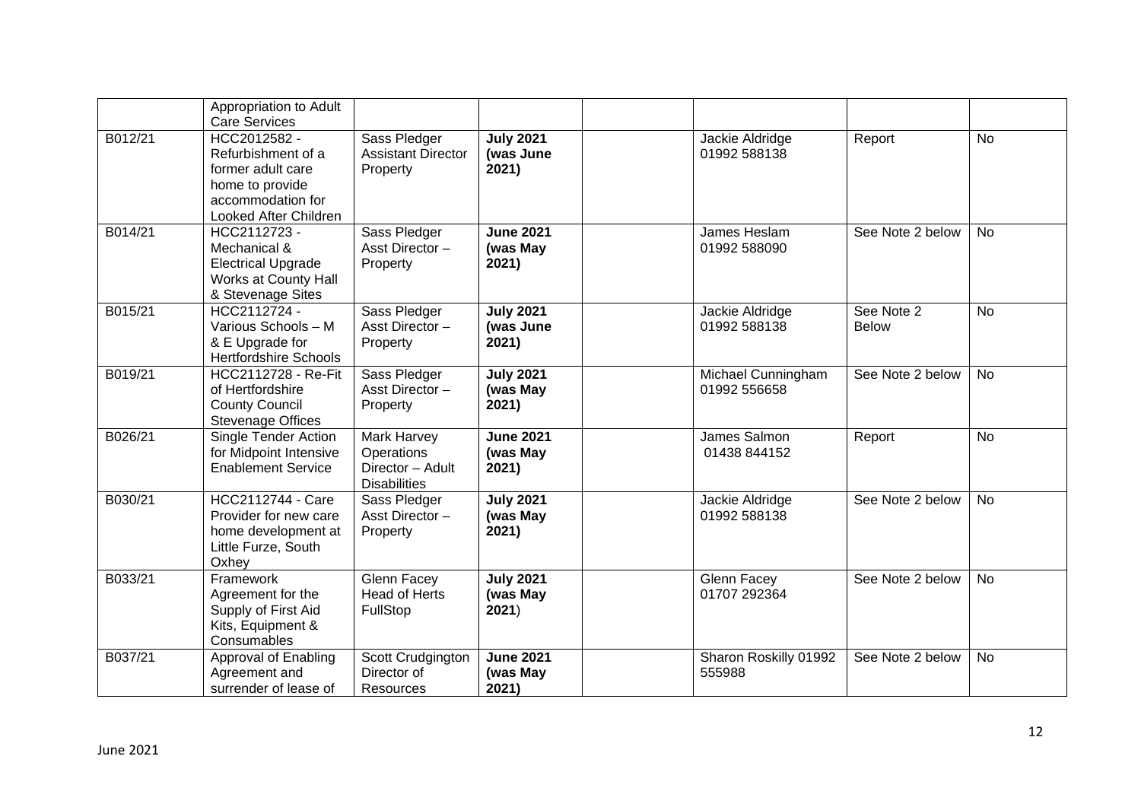|         | Appropriation to Adult<br><b>Care Services</b>                                                                           |                                                                      |                                        |                                    |                            |           |
|---------|--------------------------------------------------------------------------------------------------------------------------|----------------------------------------------------------------------|----------------------------------------|------------------------------------|----------------------------|-----------|
| B012/21 | HCC2012582 -<br>Refurbishment of a<br>former adult care<br>home to provide<br>accommodation for<br>Looked After Children | Sass Pledger<br><b>Assistant Director</b><br>Property                | <b>July 2021</b><br>(was June<br>2021) | Jackie Aldridge<br>01992 588138    | Report                     | <b>No</b> |
| B014/21 | HCC2112723 -<br>Mechanical &<br><b>Electrical Upgrade</b><br>Works at County Hall<br>& Stevenage Sites                   | Sass Pledger<br>Asst Director-<br>Property                           | <b>June 2021</b><br>(was May<br>2021)  | James Heslam<br>01992 588090       | See Note 2 below           | <b>No</b> |
| B015/21 | HCC2112724 -<br>Various Schools - M<br>& E Upgrade for<br><b>Hertfordshire Schools</b>                                   | Sass Pledger<br>Asst Director-<br>Property                           | <b>July 2021</b><br>(was June<br>2021) | Jackie Aldridge<br>01992 588138    | See Note 2<br><b>Below</b> | <b>No</b> |
| B019/21 | <b>HCC2112728 - Re-Fit</b><br>of Hertfordshire<br><b>County Council</b><br><b>Stevenage Offices</b>                      | Sass Pledger<br>Asst Director-<br>Property                           | <b>July 2021</b><br>(was May<br>2021)  | Michael Cunningham<br>01992 556658 | See Note 2 below           | <b>No</b> |
| B026/21 | <b>Single Tender Action</b><br>for Midpoint Intensive<br><b>Enablement Service</b>                                       | Mark Harvey<br>Operations<br>Director - Adult<br><b>Disabilities</b> | <b>June 2021</b><br>(was May<br>2021)  | James Salmon<br>01438 844152       | Report                     | <b>No</b> |
| B030/21 | <b>HCC2112744 - Care</b><br>Provider for new care<br>home development at<br>Little Furze, South<br>Oxhey                 | Sass Pledger<br>Asst Director-<br>Property                           | <b>July 2021</b><br>(was May<br>2021)  | Jackie Aldridge<br>01992 588138    | See Note 2 below           | <b>No</b> |
| B033/21 | Framework<br>Agreement for the<br>Supply of First Aid<br>Kits, Equipment &<br>Consumables                                | Glenn Facey<br><b>Head of Herts</b><br>FullStop                      | <b>July 2021</b><br>(was May<br>2021)  | Glenn Facey<br>01707 292364        | See Note 2 below           | <b>No</b> |
| B037/21 | Approval of Enabling<br>Agreement and<br>surrender of lease of                                                           | Scott Crudgington<br>Director of<br>Resources                        | <b>June 2021</b><br>(was May<br>2021)  | Sharon Roskilly 01992<br>555988    | See Note 2 below           | <b>No</b> |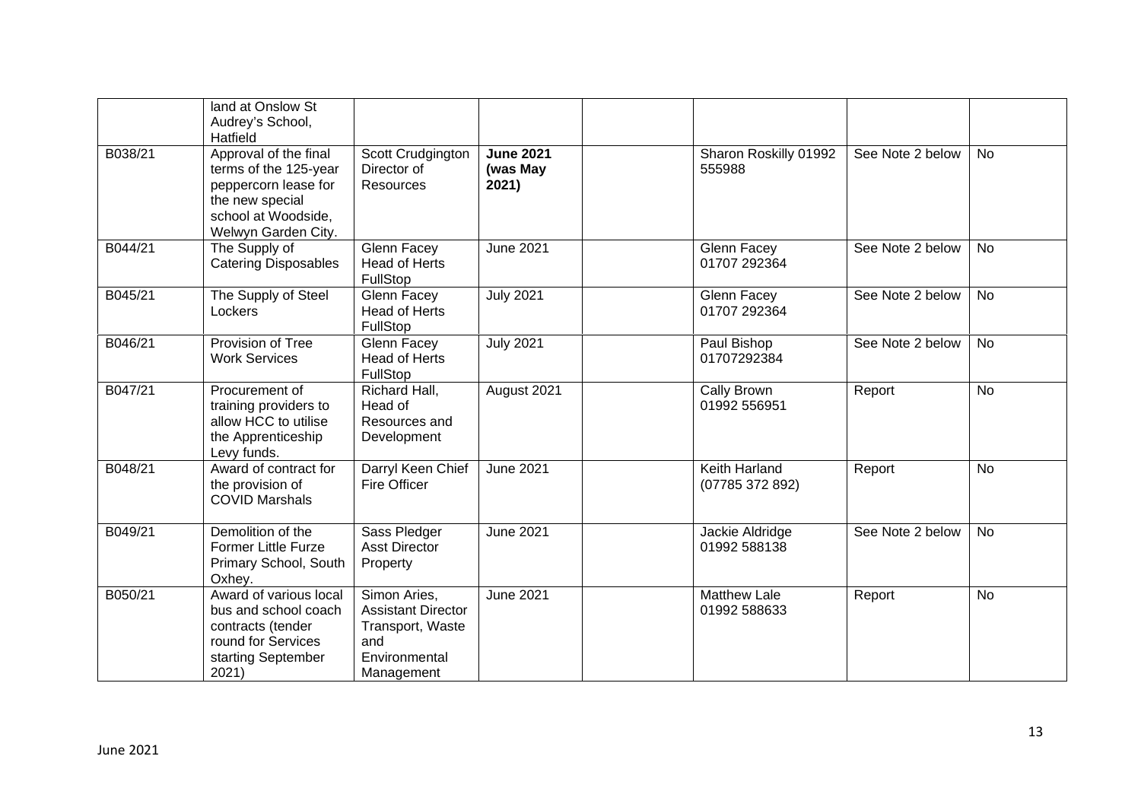|         | land at Onslow St<br>Audrey's School,<br>Hatfield                                                                                       |                                                                                                     |                                       |                                     |                  |           |
|---------|-----------------------------------------------------------------------------------------------------------------------------------------|-----------------------------------------------------------------------------------------------------|---------------------------------------|-------------------------------------|------------------|-----------|
| B038/21 | Approval of the final<br>terms of the 125-year<br>peppercorn lease for<br>the new special<br>school at Woodside,<br>Welwyn Garden City. | Scott Crudgington<br>Director of<br><b>Resources</b>                                                | <b>June 2021</b><br>(was May<br>2021) | Sharon Roskilly 01992<br>555988     | See Note 2 below | <b>No</b> |
| B044/21 | The Supply of<br><b>Catering Disposables</b>                                                                                            | Glenn Facey<br><b>Head of Herts</b><br>FullStop                                                     | <b>June 2021</b>                      | Glenn Facey<br>01707 292364         | See Note 2 below | <b>No</b> |
| B045/21 | The Supply of Steel<br>Lockers                                                                                                          | Glenn Facey<br><b>Head of Herts</b><br>FullStop                                                     | <b>July 2021</b>                      | Glenn Facey<br>01707 292364         | See Note 2 below | <b>No</b> |
| B046/21 | <b>Provision of Tree</b><br><b>Work Services</b>                                                                                        | Glenn Facey<br><b>Head of Herts</b><br>FullStop                                                     | <b>July 2021</b>                      | Paul Bishop<br>01707292384          | See Note 2 below | <b>No</b> |
| B047/21 | Procurement of<br>training providers to<br>allow HCC to utilise<br>the Apprenticeship<br>Levy funds.                                    | Richard Hall,<br>Head of<br>Resources and<br>Development                                            | August 2021                           | Cally Brown<br>01992 556951         | Report           | <b>No</b> |
| B048/21 | Award of contract for<br>the provision of<br><b>COVID Marshals</b>                                                                      | Darryl Keen Chief<br><b>Fire Officer</b>                                                            | <b>June 2021</b>                      | Keith Harland<br>(07785 372 892)    | Report           | <b>No</b> |
| B049/21 | Demolition of the<br><b>Former Little Furze</b><br>Primary School, South<br>Oxhey.                                                      | Sass Pledger<br><b>Asst Director</b><br>Property                                                    | <b>June 2021</b>                      | Jackie Aldridge<br>01992 588138     | See Note 2 below | <b>No</b> |
| B050/21 | Award of various local<br>bus and school coach<br>contracts (tender<br>round for Services<br>starting September<br>2021)                | Simon Aries,<br><b>Assistant Director</b><br>Transport, Waste<br>and<br>Environmental<br>Management | <b>June 2021</b>                      | <b>Matthew Lale</b><br>01992 588633 | Report           | <b>No</b> |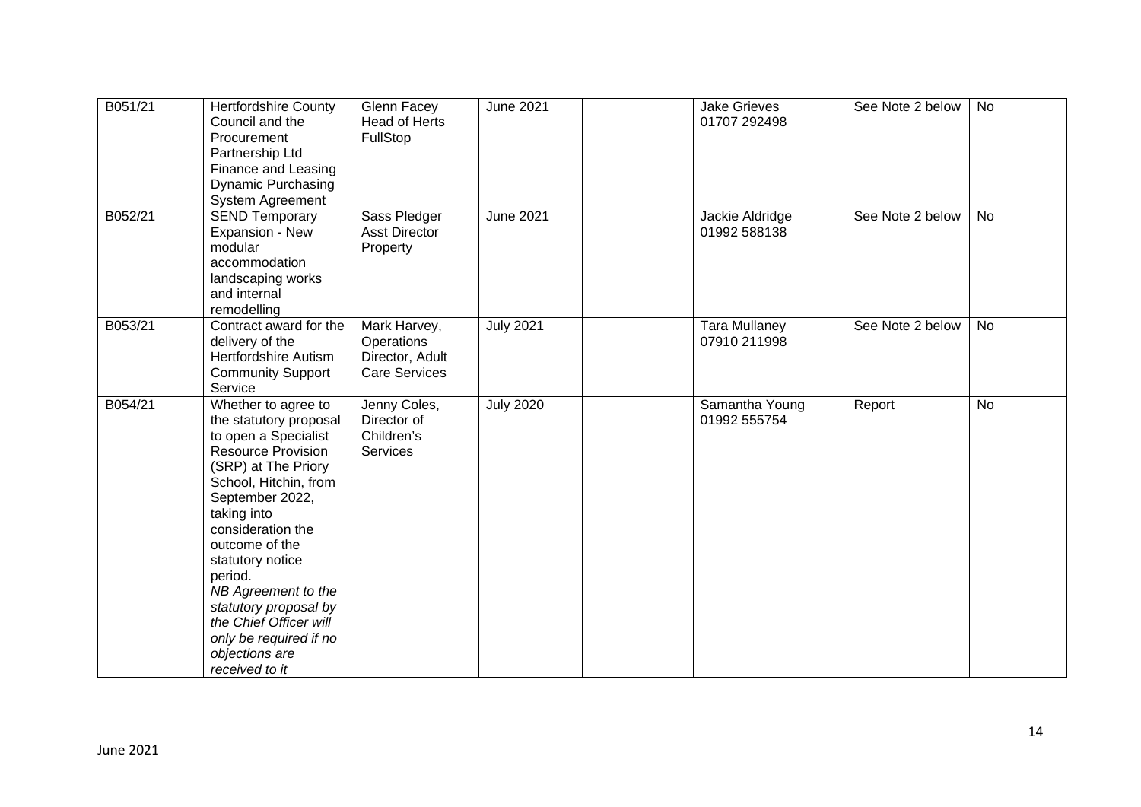| B051/21 | <b>Hertfordshire County</b><br>Council and the<br>Procurement<br>Partnership Ltd<br>Finance and Leasing<br>Dynamic Purchasing<br><b>System Agreement</b>                                                                                                                                                                                                                                           | Glenn Facey<br>Head of Herts<br>FullStop                              | <b>June 2021</b> | <b>Jake Grieves</b><br>01707 292498  | See Note 2 below | <b>No</b> |
|---------|----------------------------------------------------------------------------------------------------------------------------------------------------------------------------------------------------------------------------------------------------------------------------------------------------------------------------------------------------------------------------------------------------|-----------------------------------------------------------------------|------------------|--------------------------------------|------------------|-----------|
| B052/21 | <b>SEND Temporary</b><br>Expansion - New<br>modular<br>accommodation<br>landscaping works<br>and internal<br>remodelling                                                                                                                                                                                                                                                                           | Sass Pledger<br><b>Asst Director</b><br>Property                      | <b>June 2021</b> | Jackie Aldridge<br>01992 588138      | See Note 2 below | <b>No</b> |
| B053/21 | Contract award for the<br>delivery of the<br><b>Hertfordshire Autism</b><br><b>Community Support</b><br>Service                                                                                                                                                                                                                                                                                    | Mark Harvey,<br>Operations<br>Director, Adult<br><b>Care Services</b> | <b>July 2021</b> | <b>Tara Mullaney</b><br>07910 211998 | See Note 2 below | <b>No</b> |
| B054/21 | Whether to agree to<br>the statutory proposal<br>to open a Specialist<br><b>Resource Provision</b><br>(SRP) at The Priory<br>School, Hitchin, from<br>September 2022,<br>taking into<br>consideration the<br>outcome of the<br>statutory notice<br>period.<br>NB Agreement to the<br>statutory proposal by<br>the Chief Officer will<br>only be required if no<br>objections are<br>received to it | Jenny Coles,<br>Director of<br>Children's<br>Services                 | <b>July 2020</b> | Samantha Young<br>01992 555754       | Report           | <b>No</b> |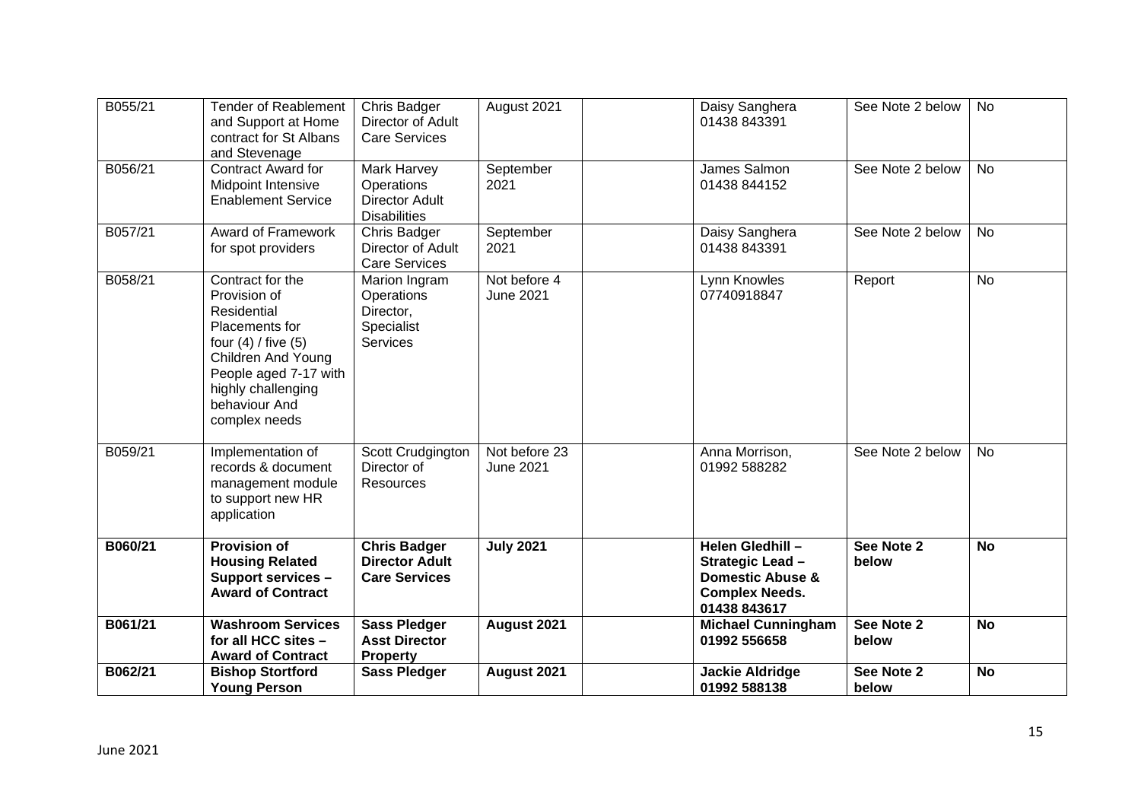| B055/21 | <b>Tender of Reablement</b><br>and Support at Home<br>contract for St Albans<br>and Stevenage                                                                                                              | <b>Chris Badger</b><br>Director of Adult<br><b>Care Services</b>          | August 2021                       | Daisy Sanghera<br>01438 843391                                                                               | See Note 2 below    | No        |
|---------|------------------------------------------------------------------------------------------------------------------------------------------------------------------------------------------------------------|---------------------------------------------------------------------------|-----------------------------------|--------------------------------------------------------------------------------------------------------------|---------------------|-----------|
| B056/21 | <b>Contract Award for</b><br><b>Midpoint Intensive</b><br><b>Enablement Service</b>                                                                                                                        | Mark Harvey<br>Operations<br><b>Director Adult</b><br><b>Disabilities</b> | September<br>2021                 | James Salmon<br>01438 844152                                                                                 | See Note 2 below    | <b>No</b> |
| B057/21 | Award of Framework<br>for spot providers                                                                                                                                                                   | Chris Badger<br>Director of Adult<br><b>Care Services</b>                 | September<br>2021                 | Daisy Sanghera<br>01438 843391                                                                               | See Note 2 below    | <b>No</b> |
| B058/21 | Contract for the<br>Provision of<br>Residential<br>Placements for<br>four $(4)$ / five $(5)$<br><b>Children And Young</b><br>People aged 7-17 with<br>highly challenging<br>behaviour And<br>complex needs | Marion Ingram<br>Operations<br>Director,<br>Specialist<br><b>Services</b> | Not before 4<br><b>June 2021</b>  | Lynn Knowles<br>07740918847                                                                                  | Report              | <b>No</b> |
| B059/21 | Implementation of<br>records & document<br>management module<br>to support new HR<br>application                                                                                                           | Scott Crudgington<br>Director of<br>Resources                             | Not before 23<br><b>June 2021</b> | Anna Morrison,<br>01992 588282                                                                               | See Note 2 below    | <b>No</b> |
| B060/21 | <b>Provision of</b><br><b>Housing Related</b><br>Support services -<br><b>Award of Contract</b>                                                                                                            | <b>Chris Badger</b><br><b>Director Adult</b><br><b>Care Services</b>      | <b>July 2021</b>                  | Helen Gledhill -<br>Strategic Lead -<br><b>Domestic Abuse &amp;</b><br><b>Complex Needs.</b><br>01438 843617 | See Note 2<br>below | <b>No</b> |
| B061/21 | <b>Washroom Services</b><br>for all HCC sites -<br><b>Award of Contract</b>                                                                                                                                | <b>Sass Pledger</b><br><b>Asst Director</b><br><b>Property</b>            | August 2021                       | <b>Michael Cunningham</b><br>01992 556658                                                                    | See Note 2<br>below | <b>No</b> |
| B062/21 | <b>Bishop Stortford</b><br><b>Young Person</b>                                                                                                                                                             | <b>Sass Pledger</b>                                                       | August 2021                       | <b>Jackie Aldridge</b><br>01992 588138                                                                       | See Note 2<br>below | <b>No</b> |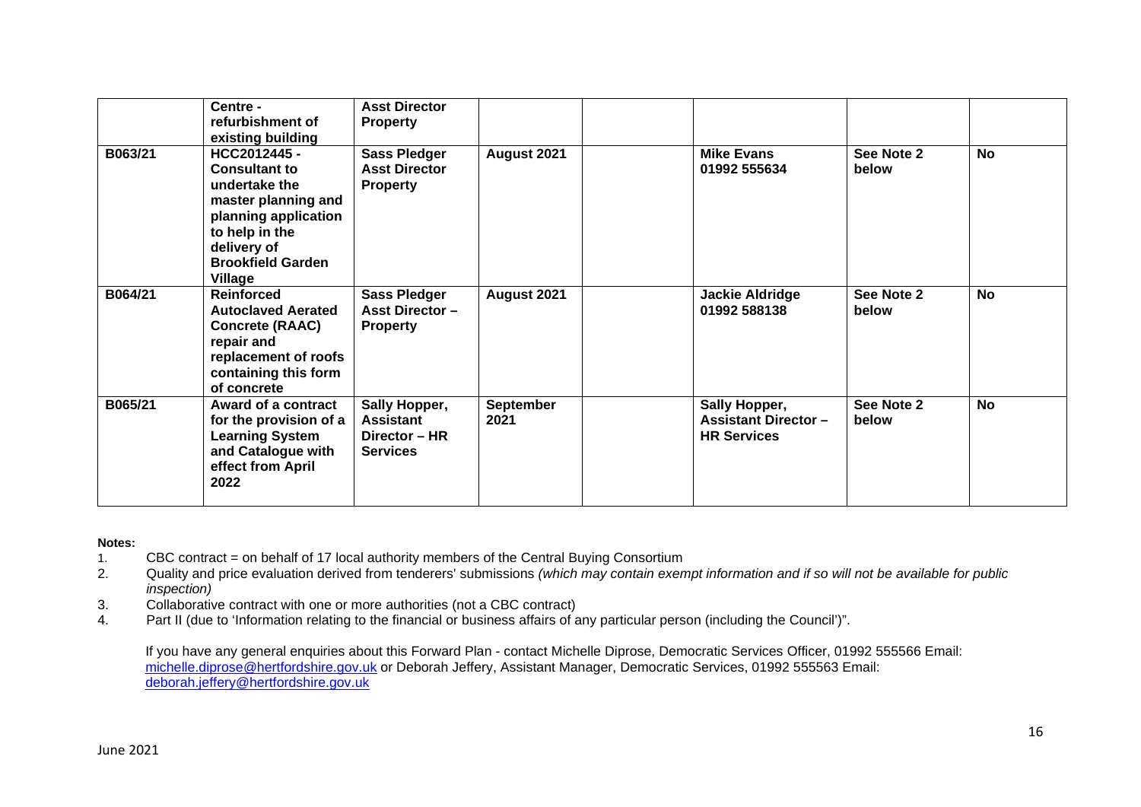|         | Centre -<br>refurbishment of<br>existing building                                                                                                                            | <b>Asst Director</b><br><b>Property</b>                               |                   |                                                                   |                     |           |
|---------|------------------------------------------------------------------------------------------------------------------------------------------------------------------------------|-----------------------------------------------------------------------|-------------------|-------------------------------------------------------------------|---------------------|-----------|
| B063/21 | HCC2012445 -<br><b>Consultant to</b><br>undertake the<br>master planning and<br>planning application<br>to help in the<br>delivery of<br><b>Brookfield Garden</b><br>Village | <b>Sass Pledger</b><br><b>Asst Director</b><br><b>Property</b>        | August 2021       | <b>Mike Evans</b><br>01992 555634                                 | See Note 2<br>below | No        |
| B064/21 | <b>Reinforced</b><br><b>Autoclaved Aerated</b><br><b>Concrete (RAAC)</b><br>repair and<br>replacement of roofs<br>containing this form<br>of concrete                        | <b>Sass Pledger</b><br><b>Asst Director -</b><br><b>Property</b>      | August 2021       | <b>Jackie Aldridge</b><br>01992 588138                            | See Note 2<br>below | <b>No</b> |
| B065/21 | Award of a contract<br>for the provision of a<br><b>Learning System</b><br>and Catalogue with<br>effect from April<br>2022                                                   | Sally Hopper,<br><b>Assistant</b><br>Director - HR<br><b>Services</b> | September<br>2021 | Sally Hopper,<br><b>Assistant Director-</b><br><b>HR Services</b> | See Note 2<br>below | <b>No</b> |

#### **Notes:**

- 1. CBC contract = on behalf of 17 local authority members of the Central Buying Consortium
- 2. Quality and price evaluation derived from tenderers' submissions *(which may contain exempt information and if so will not be available for public inspection)*
- 3. Collaborative contract with one or more authorities (not a CBC contract)
- 4. Part II (due to 'Information relating to the financial or business affairs of any particular person (including the Council')".

If you have any general enquiries about this Forward Plan - contact Michelle Diprose, Democratic Services Officer, 01992 555566 Email: michelle.diprose@hertfordshire.gov.uk or Deborah Jeffery, Assistant Manager, Democratic Services, 01992 555563 Email: deborah.jeffery@hertfordshire.gov.uk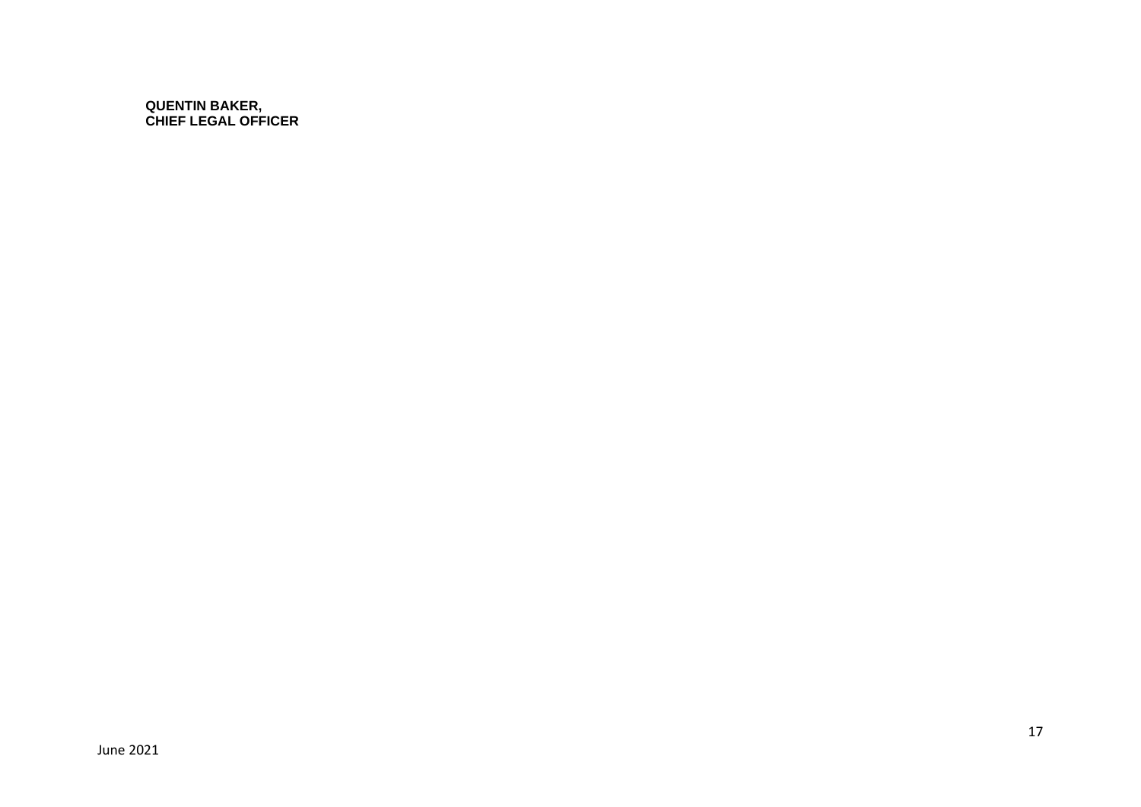**QUENTIN BAKER, CHIEF LEGAL OFFICER**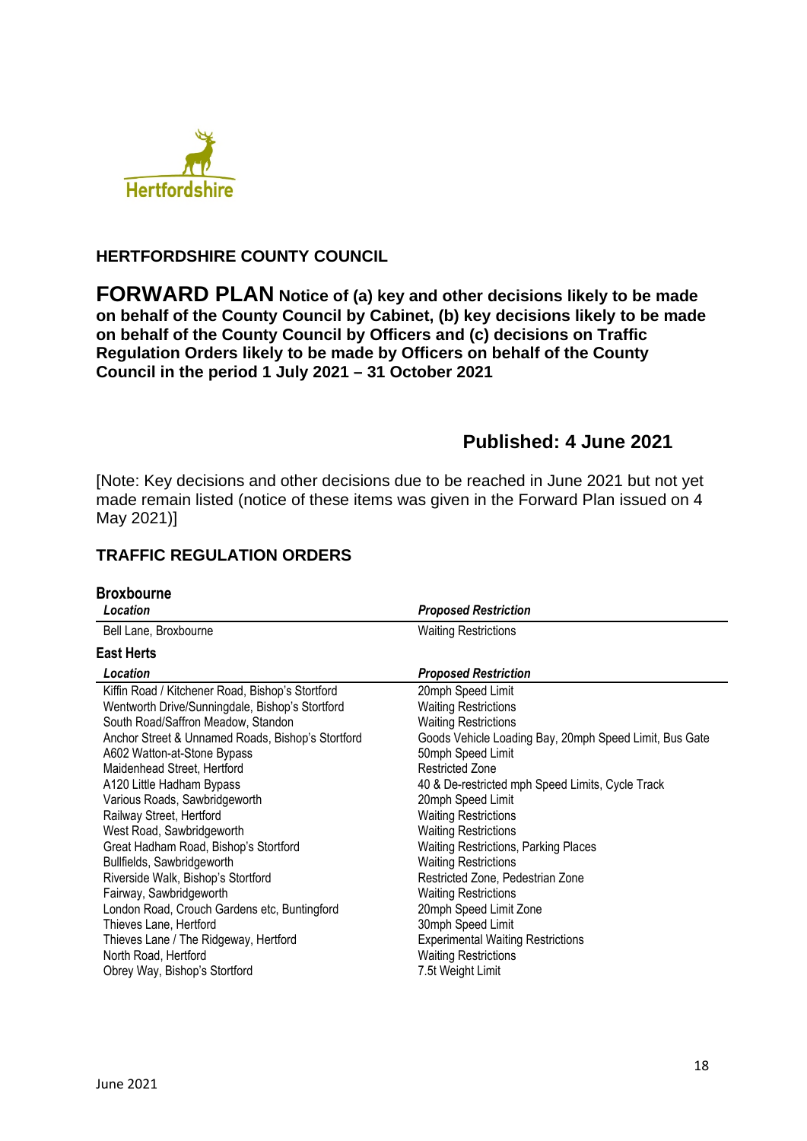

## **HERTFORDSHIRE COUNTY COUNCIL**

**FORWARD PLAN Notice of (a) key and other decisions likely to be made on behalf of the County Council by Cabinet, (b) key decisions likely to be made on behalf of the County Council by Officers and (c) decisions on Traffic Regulation Orders likely to be made by Officers on behalf of the County Council in the period 1 July 2021 – 31 October 2021** 

# **Published: 4 June 2021**

[Note: Key decisions and other decisions due to be reached in June 2021 but not yet made remain listed (notice of these items was given in the Forward Plan issued on 4 May 2021)]

## **TRAFFIC REGULATION ORDERS**

| <b>Broxbourne</b><br>Location                                                                                                                                                                                                                                                                                                                                                                                                                                                                                                                                                                                                                                                                           | <b>Proposed Restriction</b>                                                                                                                                                                                                                                                                                                                                                                                                                                                                                                                                                                                                     |
|---------------------------------------------------------------------------------------------------------------------------------------------------------------------------------------------------------------------------------------------------------------------------------------------------------------------------------------------------------------------------------------------------------------------------------------------------------------------------------------------------------------------------------------------------------------------------------------------------------------------------------------------------------------------------------------------------------|---------------------------------------------------------------------------------------------------------------------------------------------------------------------------------------------------------------------------------------------------------------------------------------------------------------------------------------------------------------------------------------------------------------------------------------------------------------------------------------------------------------------------------------------------------------------------------------------------------------------------------|
| Bell Lane, Broxbourne                                                                                                                                                                                                                                                                                                                                                                                                                                                                                                                                                                                                                                                                                   | <b>Waiting Restrictions</b>                                                                                                                                                                                                                                                                                                                                                                                                                                                                                                                                                                                                     |
| <b>East Herts</b>                                                                                                                                                                                                                                                                                                                                                                                                                                                                                                                                                                                                                                                                                       |                                                                                                                                                                                                                                                                                                                                                                                                                                                                                                                                                                                                                                 |
| Location                                                                                                                                                                                                                                                                                                                                                                                                                                                                                                                                                                                                                                                                                                | <b>Proposed Restriction</b>                                                                                                                                                                                                                                                                                                                                                                                                                                                                                                                                                                                                     |
| Kiffin Road / Kitchener Road, Bishop's Stortford<br>Wentworth Drive/Sunningdale, Bishop's Stortford<br>South Road/Saffron Meadow, Standon<br>Anchor Street & Unnamed Roads, Bishop's Stortford<br>A602 Watton-at-Stone Bypass<br>Maidenhead Street, Hertford<br>A120 Little Hadham Bypass<br>Various Roads, Sawbridgeworth<br>Railway Street, Hertford<br>West Road, Sawbridgeworth<br>Great Hadham Road, Bishop's Stortford<br>Bullfields, Sawbridgeworth<br>Riverside Walk, Bishop's Stortford<br>Fairway, Sawbridgeworth<br>London Road, Crouch Gardens etc, Buntingford<br>Thieves Lane, Hertford<br>Thieves Lane / The Ridgeway, Hertford<br>North Road, Hertford<br>Obrey Way, Bishop's Stortford | 20mph Speed Limit<br><b>Waiting Restrictions</b><br><b>Waiting Restrictions</b><br>Goods Vehicle Loading Bay, 20mph Speed Limit, Bus Gate<br>50mph Speed Limit<br><b>Restricted Zone</b><br>40 & De-restricted mph Speed Limits, Cycle Track<br>20mph Speed Limit<br><b>Waiting Restrictions</b><br><b>Waiting Restrictions</b><br><b>Waiting Restrictions, Parking Places</b><br><b>Waiting Restrictions</b><br>Restricted Zone, Pedestrian Zone<br><b>Waiting Restrictions</b><br>20mph Speed Limit Zone<br>30mph Speed Limit<br><b>Experimental Waiting Restrictions</b><br><b>Waiting Restrictions</b><br>7.5t Weight Limit |